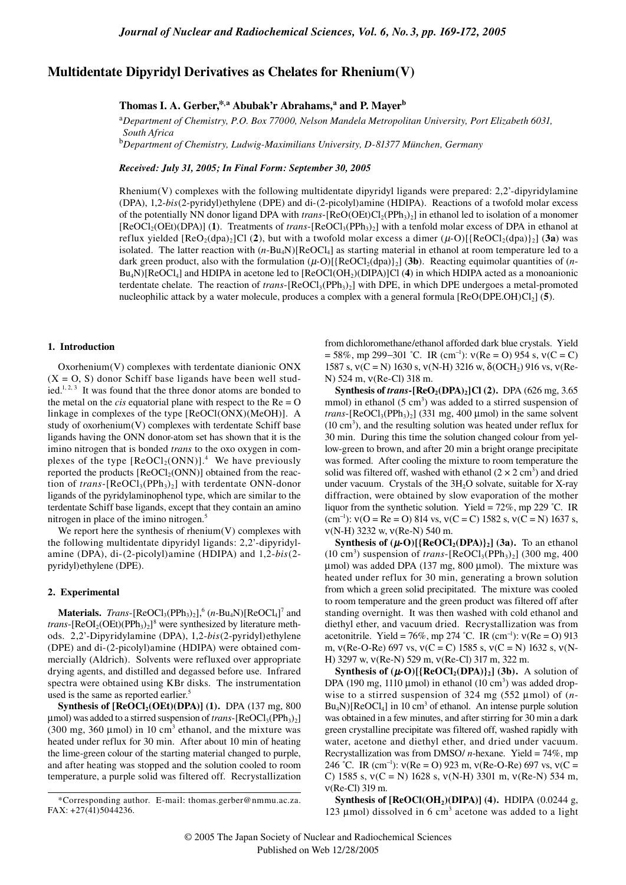# **Multidentate Dipyridyl Derivatives as Chelates for Rhenium(V)**

# **Thomas I. A. Gerber,\*,a Abubak'r Abrahams,<sup>a</sup> and P. Mayer<sup>b</sup>**

<sup>a</sup>*Department of Chemistry, P.O. Box 77000, Nelson Mandela Metropolitan University, Port Elizabeth 6031, South Africa*

b *Department of Chemistry, Ludwig-Maximilians University, D-81377 München, Germany*

*Received: July 31, 2005; In Final Form: September 30, 2005*

Rhenium(V) complexes with the following multidentate dipyridyl ligands were prepared: 2,2'-dipyridylamine (DPA), 1,2-*bis*(2-pyridyl)ethylene (DPE) and di-(2-picolyl)amine (HDIPA). Reactions of a twofold molar excess of the potentially NN donor ligand DPA with *trans*-[ReO(OEt)Cl<sub>2</sub>(PPh<sub>3</sub>)<sub>2</sub>] in ethanol led to isolation of a monomer [ReOCl<sub>2</sub>(OEt)(DPA)] (1). Treatments of *trans*-[ReOCl<sub>3</sub>(PPh<sub>3</sub>)<sub>2</sub>] with a tenfold molar excess of DPA in ethanol at reflux yielded  $[ReO_2(dpa)_2]$ Cl (2), but with a twofold molar excess a dimer  $(\mu$ -O) $[ReOCl_2(dpa)]_2]$  (3a) was isolated. The latter reaction with (*n*-Bu4N)[ReOCl4] as starting material in ethanol at room temperature led to a dark green product, also with the formulation  $(\mu$ -O)[{ReOCl<sub>2</sub>(dpa)}<sub>2</sub>] (**3b**). Reacting equimolar quantities of (*n*-Bu4N)[ReOCl4] and HDIPA in acetone led to [ReOCl(OH2)(DIPA)]Cl (**4**) in which HDIPA acted as a monoanionic terdentate chelate. The reaction of *trans*-[ReOCl<sub>3</sub>(PPh<sub>3</sub>)<sub>2</sub>] with DPE, in which DPE undergoes a metal-promoted nucleophilic attack by a water molecule, produces a complex with a general formula [ReO(DPE.OH)Cl2] (**5**).

### **1. Introduction**

Oxorhenium(V) complexes with terdentate dianionic ONX  $(X = 0, S)$  donor Schiff base ligands have been well studied.<sup>1, 2, 3</sup> It was found that the three donor atoms are bonded to the metal on the *cis* equatorial plane with respect to the  $Re = O$ linkage in complexes of the type [ReOCl(ONX)(MeOH)]. A study of oxorhenium(V) complexes with terdentate Schiff base ligands having the ONN donor-atom set has shown that it is the imino nitrogen that is bonded *trans* to the oxo oxygen in complexes of the type  $[Re OCl<sub>2</sub>(ONN)]$ <sup>4</sup> We have previously reported the products  $[ReOCl<sub>2</sub>(ONN)]$  obtained from the reaction of *trans*-[ReOCl<sub>3</sub>(PPh<sub>3</sub>)<sub>2</sub>] with terdentate ONN-donor ligands of the pyridylaminophenol type, which are similar to the terdentate Schiff base ligands, except that they contain an amino nitrogen in place of the imino nitrogen.<sup>5</sup>

We report here the synthesis of rhenium $(V)$  complexes with the following multidentate dipyridyl ligands: 2,2'-dipyridylamine (DPA), di-(2-picolyl)amine (HDIPA) and 1,2-*bis*(2 pyridyl)ethylene (DPE).

## **2. Experimental**

**Materials.** *Trans*-[ReOCl<sub>3</sub>(PPh<sub>3</sub>)<sub>2</sub>],<sup>6</sup> (*n*-Bu<sub>4</sub>N)[ReOCl<sub>4</sub>]<sup>7</sup> and *trans*-[ $ReOI_2(OEt)(PPh_3)_2$ ]<sup>8</sup> were synthesized by literature methods. 2,2'-Dipyridylamine (DPA), 1,2-*bis*(2-pyridyl)ethylene (DPE) and di-(2-picolyl)amine (HDIPA) were obtained commercially (Aldrich). Solvents were refluxed over appropriate drying agents, and distilled and degassed before use. Infrared spectra were obtained using KBr disks. The instrumentation used is the same as reported earlier.<sup>5</sup>

**Synthesis of [ReOCl<sub>2</sub>(OEt)(DPA)] (1).** DPA (137 mg, 800)  $\mu$ mol) was added to a stirred suspension of *trans*-[ReOCl<sub>3</sub>(PPh<sub>3</sub>)<sub>2</sub>] (300 mg, 360  $\mu$ mol) in 10 cm<sup>3</sup> ethanol, and the mixture was heated under reflux for 30 min. After about 10 min of heating the lime-green colour of the starting material changed to purple, and after heating was stopped and the solution cooled to room temperature, a purple solid was filtered off. Recrystallization from dichloromethane/ethanol afforded dark blue crystals. Yield  $= 58\%$ , mp 299–301 °C. IR (cm<sup>-1</sup>):  $v(Re = O)$  954 s,  $v(C = C)$ 1587 s,  $v(C = N)$  1630 s,  $v(N-H)$  3216 w,  $\delta (OCH_2)$  916 vs,  $v(Re-$ N) 524 m, ν(Re-Cl) 318 m.

**Synthesis of** *trans***-[ReO<sub>2</sub>(DPA)<sub>2</sub>]Cl (2).** DPA (626 mg, 3.65) mmol) in ethanol  $(5 \text{ cm}^3)$  was added to a stirred suspension of *trans*- $[ReOCl<sub>3</sub>(PPh<sub>3</sub>)<sub>2</sub>]$  (331 mg, 400 µmol) in the same solvent (10 cm3 ), and the resulting solution was heated under reflux for 30 min. During this time the solution changed colour from yellow-green to brown, and after 20 min a bright orange precipitate was formed. After cooling the mixture to room temperature the solid was filtered off, washed with ethanol  $(2 \times 2 \text{ cm}^3)$  and dried under vacuum. Crystals of the  $3H<sub>2</sub>O$  solvate, suitable for X-ray diffraction, were obtained by slow evaporation of the mother liquor from the synthetic solution. Yield =  $72\%$ , mp 229 °C. IR (cm<sup>-1</sup>):  $v(O = Re = O)$  814 vs,  $v(C = C)$  1582 s,  $v(C = N)$  1637 s, ν(N-H) 3232 w, ν(Re-N) 540 m.

**Synthesis of**  $(\mu\text{-}O)[\{\text{ReOCl}_2(\text{DPA})\}_2]$  **(3a).** To an ethanol  $(10 \text{ cm}^3)$  suspension of *trans*-[ReOCl<sub>3</sub>(PPh<sub>3</sub>)<sub>2</sub>] (300 mg, 400  $\mu$ mol) was added DPA (137 mg, 800  $\mu$ mol). The mixture was heated under reflux for 30 min, generating a brown solution from which a green solid precipitated. The mixture was cooled to room temperature and the green product was filtered off after standing overnight. It was then washed with cold ethanol and diethyl ether, and vacuum dried. Recrystallization was from acetonitrile. Yield = 76%, mp 274 °C. IR (cm<sup>-1</sup>):  $v(Re = 0)$  913 m,  $v(Re-O-Re)$  697 vs,  $v(C = C)$  1585 s,  $v(C = N)$  1632 s,  $v(N-P)$ H) 3297 w, ν(Re-N) 529 m, ν(Re-Cl) 317 m, 322 m.

**Synthesis of**  $(\mu\text{-}O)[\{\text{ReOCl}_2(\text{DPA})\}_2]$  **(3b).** A solution of DPA (190 mg, 1110  $\mu$ mol) in ethanol (10 cm<sup>3</sup>) was added dropwise to a stirred suspension of 324 mg (552 µmol) of  $(n Bu_4N$ )[ $ReOCl_4$ ] in 10 cm<sup>3</sup> of ethanol. An intense purple solution was obtained in a few minutes, and after stirring for 30 min a dark green crystalline precipitate was filtered off, washed rapidly with water, acetone and diethyl ether, and dried under vacuum. Recrystallization was from DMSO/ *n*-hexane. Yield = 74%, mp 246 °C. IR (cm<sup>-1</sup>):  $v(Re = 0)$  923 m,  $v(Re-O-Re)$  697 vs,  $v(C =$ C) 1585 s,  $v(C = N)$  1628 s,  $v(N-H)$  3301 m,  $v(Re-N)$  534 m, ν(Re-Cl) 319 m.

Synthesis of [ReOCl(OH<sub>2</sub>)(DIPA)] (4). HDIPA (0.0244 g, 123  $\mu$ mol) dissolved in 6 cm<sup>3</sup> acetone was added to a light

<sup>\*</sup>Corresponding author. E-mail: thomas.gerber@nmmu.ac.za. FAX: +27(41)5044236.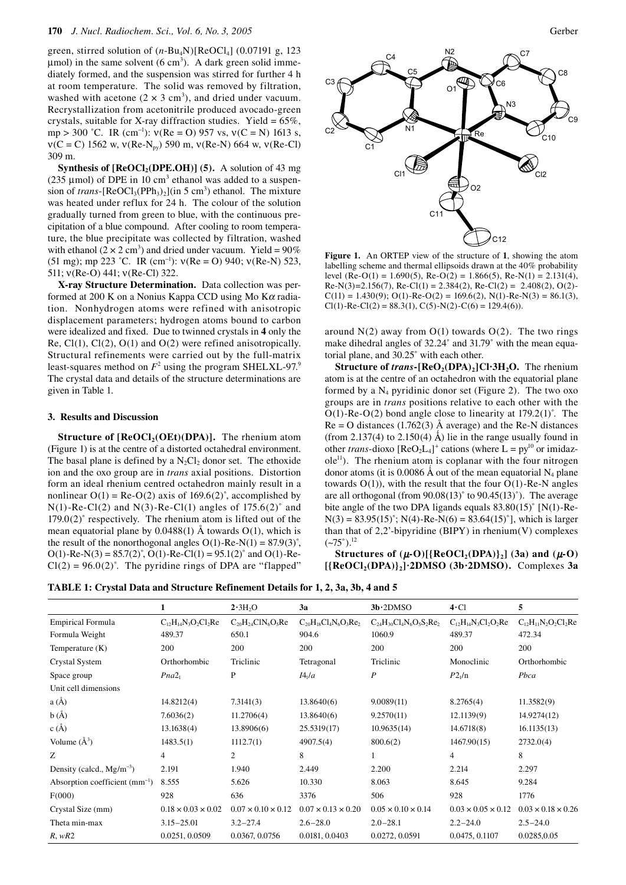green, stirred solution of (*n*-Bu4N)[ReOCl4] (0.07191 g, 123  $\mu$ mol) in the same solvent (6 cm<sup>3</sup>). A dark green solid immediately formed, and the suspension was stirred for further 4 h at room temperature. The solid was removed by filtration, washed with acetone  $(2 \times 3 \text{ cm}^3)$ , and dried under vacuum. Recrystallization from acetonitrile produced avocado-green crystals, suitable for X-ray diffraction studies. Yield =  $65\%$ , mp > 300 °C. IR (cm<sup>-1</sup>):  $v(Re = 0)$  957 vs,  $v(C = N)$  1613 s,  $v(C = C)$  1562 w,  $v(Re-N<sub>pv</sub>)$  590 m,  $v(Re-N)$  664 w,  $v(Re-Cl)$ 309 m.

**Synthesis of**  $[ReOCl<sub>2</sub>(DPE.OH)]$  **(5).** A solution of 43 mg (235  $\mu$ mol) of DPE in 10 cm<sup>3</sup> ethanol was added to a suspension of *trans*- $[Re OCl<sub>3</sub>(PPh<sub>3</sub>)<sub>2</sub>](in 5 cm<sup>3</sup>)$  ethanol. The mixture was heated under reflux for 24 h. The colour of the solution gradually turned from green to blue, with the continuous precipitation of a blue compound. After cooling to room temperature, the blue precipitate was collected by filtration, washed with ethanol  $(2 \times 2 \text{ cm}^3)$  and dried under vacuum. Yield = 90% (51 mg); mp 223 °C. IR (cm<sup>-1</sup>):  $v(Re = 0)$  940;  $v(Re-N)$  523, 511; ν(Re-O) 441; ν(Re-Cl) 322.

**X-ray Structure Determination.** Data collection was performed at 200 K on a Nonius Kappa CCD using Mo  $K\alpha$  radiation. Nonhydrogen atoms were refined with anisotropic displacement parameters; hydrogen atoms bound to carbon were idealized and fixed. Due to twinned crystals in **4** only the Re,  $Cl(1)$ ,  $Cl(2)$ ,  $O(1)$  and  $O(2)$  were refined anisotropically. Structural refinements were carried out by the full-matrix least-squares method on  $F^2$  using the program SHELXL-97.<sup>9</sup> The crystal data and details of the structure determinations are given in Table 1.

#### **3. Results and Discussion**

**Structure of [ReOCl<sub>2</sub>(OEt)(DPA)].** The rhenium atom (Figure 1) is at the centre of a distorted octahedral environment. The basal plane is defined by a  $N_2Cl_2$  donor set. The ethoxide ion and the oxo group are in *trans* axial positions. Distortion form an ideal rhenium centred octahedron mainly result in a nonlinear  $O(1)$  = Re-O(2) axis of 169.6(2)°, accomplished by  $N(1)$ -Re-Cl(2) and  $N(3)$ -Re-Cl(1) angles of 175.6(2) $^{\circ}$  and  $179.0(2)$ ° respectively. The rhenium atom is lifted out of the mean equatorial plane by  $0.0488(1)$  Å towards  $O(1)$ , which is the result of the nonorthogonal angles  $O(1)$ -Re-N(1) = 87.9(3)<sup>°</sup>,  $O(1)$ -Re-N(3) = 85.7(2)°, O(1)-Re-Cl(1) = 95.1(2)° and O(1)-Re- $Cl(2) = 96.0(2)$ °. The pyridine rings of DPA are "flapped"



**Figure 1.** An ORTEP view of the structure of **1**, showing the atom labelling scheme and thermal ellipsoids drawn at the 40% probability level (Re-O(1) = 1.690(5), Re-O(2) = 1.866(5), Re-N(1) = 2.131(4),  $Re-N(3)=2.156(7)$ ,  $Re-Cl(1) = 2.384(2)$ ,  $Re-Cl(2) = 2.408(2)$ ,  $O(2)$ - $C(11) = 1.430(9)$ ;  $O(1)$ -Re- $O(2) = 169.6(2)$ ,  $N(1)$ -Re- $N(3) = 86.1(3)$ ,  $Cl(1)$ -Re-Cl(2) = 88.3(1), C(5)-N(2)-C(6) = 129.4(6)).

around  $N(2)$  away from  $O(1)$  towards  $O(2)$ . The two rings make dihedral angles of 32.24° and 31.79° with the mean equatorial plane, and 30.25˚ with each other.

**Structure of** *trans***-[ReO<sub>2</sub>(DPA)<sub>2</sub>]Cl·3H<sub>2</sub>O.** The rhenium atom is at the centre of an octahedron with the equatorial plane formed by a  $N_4$  pyridinic donor set (Figure 2). The two oxo groups are in *trans* positions relative to each other with the  $O(1)$ -Re- $O(2)$  bond angle close to linearity at 179.2(1)°. The  $Re = O$  distances (1.762(3) Å average) and the Re-N distances (from 2.137(4) to 2.150(4)  $\AA$ ) lie in the range usually found in other *trans*-dioxo  $[ReO_2L_4]^+$  cations (where  $L = py^{10}$  or imidaz $ole<sup>11</sup>$ . The rhenium atom is coplanar with the four nitrogen donor atoms (it is 0.0086 Å out of the mean equatorial  $N_4$  plane towards  $O(1)$ , with the result that the four  $O(1)$ -Re-N angles are all orthogonal (from  $90.08(13)^\circ$  to  $90.45(13)^\circ$ ). The average bite angle of the two DPA ligands equals 83.80(15)˚ [N(1)-Re- $N(3) = 83.95(15)$ °;  $N(4)$ -Re- $N(6) = 83.64(15)$ °], which is larger than that of  $2,2$ '-bipyridine (BIPY) in rhenium(V) complexes  $(-75^{\circ})$ .<sup>12</sup>

**Structures of**  $(\mu$ **-O)** $[\{ReOCl_2(DPA)\}_2]$  (3a) and  $(\mu$ -O) **[{ReOCl2(DPA)}2]·2DMSO (3b·2DMSO).** Complexes **3a** 

**TABLE 1: Crystal Data and Structure Refinement Details for 1, 2, 3a, 3b, 4 and 5**

|                                    | 1                              | 2.3H <sub>2</sub> O            | 3a                             | $3b.2$ DMSO                     | $4 \cdot$ Cl                   | 5                              |
|------------------------------------|--------------------------------|--------------------------------|--------------------------------|---------------------------------|--------------------------------|--------------------------------|
| <b>Empirical Formula</b>           | $C_{12}H_{14}N_3O_2Cl_2Re$     | $C_{20}H_{24}C1N_6O_5Re$       | $C_{20}H_{18}Cl_4N_6O_3Re_2$   | $C_{24}H_{30}Cl_4N_6O_5S_2Re_2$ | $C_{12}H_{14}N_3Cl_2O_2Re$     | $C_{12}H_{11}N_2O_2Cl_2Re$     |
| Formula Weight                     | 489.37                         | 650.1                          | 904.6                          | 1060.9                          | 489.37                         | 472.34                         |
| Temperature $(K)$                  | 200                            | 200                            | 200                            | 200                             | 200                            | 200                            |
| Crystal System                     | Orthorhombic                   | Triclinic                      | Tetragonal                     | Triclinic                       | Monoclinic                     | Orthorhombic                   |
| Space group                        | Pna2 <sub>1</sub>              | P                              | I4 <sub>1</sub> /a             | $\boldsymbol{P}$                | P2 <sub>1</sub> /n             | Pbca                           |
| Unit cell dimensions               |                                |                                |                                |                                 |                                |                                |
| $a(\AA)$                           | 14.8212(4)                     | 7.3141(3)                      | 13.8640(6)                     | 9.0089(11)                      | 8.2765(4)                      | 11.3582(9)                     |
| b(A)                               | 7.6036(2)                      | 11.2706(4)                     | 13.8640(6)                     | 9.2570(11)                      | 12.1139(9)                     | 14.9274(12)                    |
| c(A)                               | 13.1638(4)                     | 13.8906(6)                     | 25.5319(17)                    | 10.9635(14)                     | 14.6718(8)                     | 16.1135(13)                    |
| Volume $(A^3)$                     | 1483.5(1)                      | 1112.7(1)                      | 4907.5(4)                      | 800.6(2)                        | 1467.90(15)                    | 2732.0(4)                      |
| Z                                  | 4                              | $\overline{c}$                 | 8                              |                                 | $\overline{4}$                 | 8                              |
| Density (calcd., $Mg/m^{-3}$ )     | 2.191                          | 1.940                          | 2.449                          | 2.200                           | 2.214                          | 2.297                          |
| Absorption coefficient $(mm^{-1})$ | 8.555                          | 5.626                          | 10.330                         | 8.063                           | 8.645                          | 9.284                          |
| F(000)                             | 928                            | 636                            | 3376                           | 506                             | 928                            | 1776                           |
| Crystal Size (mm)                  | $0.18 \times 0.03 \times 0.02$ | $0.07 \times 0.10 \times 0.12$ | $0.07 \times 0.13 \times 0.20$ | $0.05 \times 0.10 \times 0.14$  | $0.03 \times 0.05 \times 0.12$ | $0.03 \times 0.18 \times 0.26$ |
| Theta min-max                      | $3.15 - 25.01$                 | $3.2 - 27.4$                   | $2.6 - 28.0$                   | $2.0 - 28.1$                    | $2.2 - 24.0$                   | $2.5 - 24.0$                   |
| R, wR2                             | 0.0251, 0.0509                 | 0.0367, 0.0756                 | 0.0181, 0.0403                 | 0.0272, 0.0591                  | 0.0475, 0.1107                 | 0.0285,0.05                    |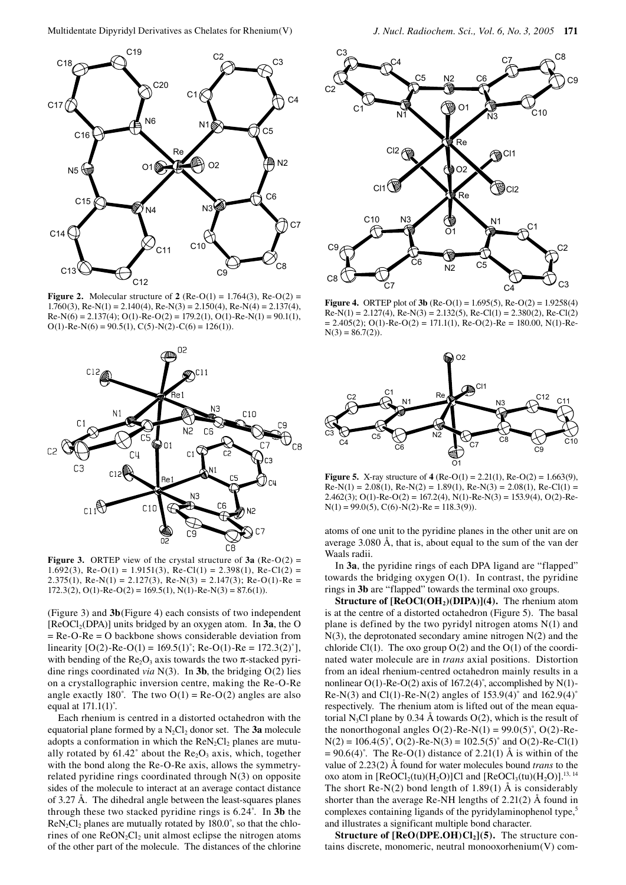

**Figure 2.** Molecular structure of **2** (Re-O(1) =  $1.764(3)$ , Re-O(2) = 1.760(3), Re-N(1) = 2.140(4), Re-N(3) = 2.150(4), Re-N(4) = 2.137(4),  $Re-N(6) = 2.137(4); O(1) - Re-O(2) = 179.2(1), O(1) - Re-N(1) = 90.1(1),$  $O(1)$ -Re-N(6) = 90.5(1), C(5)-N(2)-C(6) = 126(1)).



**Figure 3.** ORTEP view of the crystal structure of  $3a$  (Re-O(2) = 1.692(3), Re-O(1) = 1.9151(3), Re-Cl(1) = 2.398(1), Re-Cl(2) = 2.375(1), Re-N(1) = 2.127(3), Re-N(3) = 2.147(3); Re-O(1)-Re =  $172.3(2)$ , O(1)-Re-O(2) = 169.5(1), N(1)-Re-N(3) = 87.6(1)).

(Figure 3) and **3b**(Figure 4) each consists of two independent [ReOCl2(DPA)] units bridged by an oxygen atom. In **3a**, the O = Re-O-Re = O backbone shows considerable deviation from linearity  $[O(2)$ -Re-O(1) = 169.5(1)°; Re-O(1)-Re = 172.3(2)°], with bending of the Re<sub>2</sub>O<sub>3</sub> axis towards the two  $\pi$ -stacked pyridine rings coordinated *via* N(3). In **3b**, the bridging O(2) lies on a crystallographic inversion centre, making the Re-O-Re angle exactly 180°. The two  $O(1) = Re-O(2)$  angles are also equal at  $171.1(1)$ °.

Each rhenium is centred in a distorted octahedron with the equatorial plane formed by a N<sub>2</sub>Cl<sub>2</sub> donor set. The 3a molecule adopts a conformation in which the  $\text{Re}N_2Cl_2$  planes are mutually rotated by  $61.42^\circ$  about the Re<sub>2</sub>O<sub>3</sub> axis, which, together with the bond along the Re-O-Re axis, allows the symmetryrelated pyridine rings coordinated through N(3) on opposite sides of the molecule to interact at an average contact distance of 3.27 Å. The dihedral angle between the least-squares planes through these two stacked pyridine rings is 6.24˚. In **3b** the  $ReN_2Cl_2$  planes are mutually rotated by  $180.0^\circ$ , so that the chlorines of one  $ReON_2Cl_2$  unit almost eclipse the nitrogen atoms of the other part of the molecule. The distances of the chlorine



**Figure 4.** ORTEP plot of **3b** (Re-O(1) = 1.695(5), Re-O(2) = 1.9258(4)  $Re-N(1) = 2.127(4)$ ,  $Re-N(3) = 2.132(5)$ ,  $Re-CI(1) = 2.380(2)$ ,  $Re-CI(2)$  $= 2.405(2)$ ; O(1)-Re-O(2) = 171.1(1), Re-O(2)-Re = 180.00, N(1)-Re- $N(3) = 86.7(2)$ .



**Figure 5.** X-ray structure of  $4$  (Re-O(1) = 2.21(1), Re-O(2) = 1.663(9),  $Re-N(1) = 2.08(1)$ ,  $Re-N(2) = 1.89(1)$ ,  $Re-N(3) = 2.08(1)$ ,  $Re-CI(1) =$ 2.462(3); O(1)-Re-O(2) = 167.2(4), N(1)-Re-N(3) = 153.9(4), O(2)-Re- $N(1) = 99.0(5), C(6)-N(2)-Re = 118.3(9).$ 

atoms of one unit to the pyridine planes in the other unit are on average 3.080 Å, that is, about equal to the sum of the van der Waals radii.

In **3a**, the pyridine rings of each DPA ligand are "flapped" towards the bridging oxygen O(1). In contrast, the pyridine rings in **3b** are "flapped" towards the terminal oxo groups.

**Structure of [ReOCl(OH<sub>2</sub>)(DIPA)](4).** The rhenium atom is at the centre of a distorted octahedron (Figure 5). The basal plane is defined by the two pyridyl nitrogen atoms N(1) and N(3), the deprotonated secondary amine nitrogen N(2) and the chloride Cl(1). The oxo group  $O(2)$  and the  $O(1)$  of the coordinated water molecule are in *trans* axial positions. Distortion from an ideal rhenium-centred octahedron mainly results in a nonlinear O(1)-Re-O(2) axis of 167.2(4)˚, accomplished by N(1)- Re-N(3) and Cl(1)-Re-N(2) angles of  $153.9(4)^\circ$  and  $162.9(4)^\circ$ respectively. The rhenium atom is lifted out of the mean equatorial N<sub>3</sub>Cl plane by 0.34 Å towards  $O(2)$ , which is the result of the nonorthogonal angles  $O(2)$ -Re-N(1) = 99.0(5)°, O(2)-Re- $N(2) = 106.4(5)°$ , O(2)-Re-N(3) = 102.5(5)° and O(2)-Re-Cl(1)  $= 90.6(4)$ °. The Re-O(1) distance of 2.21(1) Å is within of the value of 2.23(2) Å found for water molecules bound *trans* to the oxo atom in  $[ReOCl<sub>2</sub>(tu)(H<sub>2</sub>O)]Cl$  and  $[ReOCl<sub>3</sub>(tu)(H<sub>2</sub>O)]<sup>13, 14</sup>$ The short Re-N(2) bond length of 1.89(1)  $\AA$  is considerably shorter than the average Re-NH lengths of 2.21(2) Å found in complexes containing ligands of the pyridylaminophenol type,<sup>5</sup> and illustrates a significant multiple bond character.

**Structure of**  $[ReO(DPE.OH)Cl<sub>2</sub>](5)$ **.** The structure contains discrete, monomeric, neutral monooxorhenium(V) com-